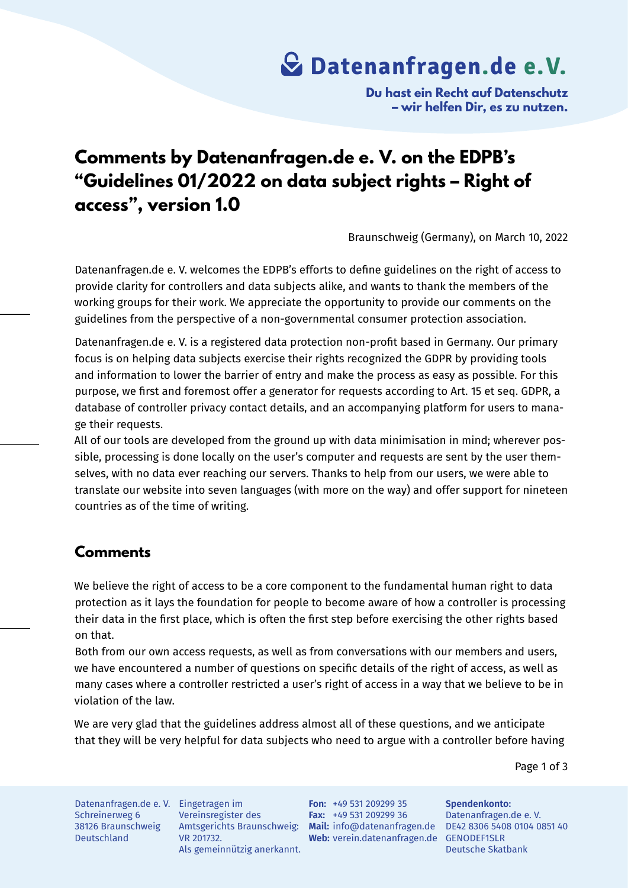## **Datenanfragen.de e. V.**

**Du hast ein Recht auf Datenschutz – wir helfen Dir, es zu nutzen.**

### **Comments by Datenanfragen.de e. V. on the EDPB's "Guidelines 01/2022 on data subject rights – Right of access", version 1.0**

Braunschweig (Germany), on March 10, 2022

Datenanfragen.de e. V. welcomes the EDPB's efforts to define guidelines on the right of access to provide clarity for controllers and data subjects alike, and wants to thank the members of the working groups for their work. We appreciate the opportunity to provide our comments on the guidelines from the perspective of a non-governmental consumer protection association.

Datenanfragen.de e. V. is a registered data protection non-profit based in Germany. Our primary focus is on helping data subjects exercise their rights recognized the GDPR by providing tools and information to lower the barrier of entry and make the process as easy as possible. For this purpose, we first and foremost offer a generator for requests according to Art. 15 et seq. GDPR, a database of controller privacy contact details, and an accompanying platform for users to manage their requests.

All of our tools are developed from the ground up with data minimisation in mind; wherever possible, processing is done locally on the user's computer and requests are sent by the user themselves, with no data ever reaching our servers. Thanks to help from our users, we were able to translate our website into seven languages (with more on the way) and offer support for nineteen countries as of the time of writing.

#### **Comments**

We believe the right of access to be a core component to the fundamental human right to data protection as it lays the foundation for people to become aware of how a controller is processing their data in the first place, which is often the first step before exercising the other rights based on that.

Both from our own access requests, as well as from conversations with our members and users, we have encountered a number of questions on specific details of the right of access, as well as many cases where a controller restricted a user's right of access in a way that we believe to be in violation of the law.

We are very glad that the guidelines address almost all of these questions, and we anticipate that they will be very helpful for data subjects who need to argue with a controller before having

Page 1 of 3

Datenanfragen.de e. V. Eingetragen im Schreinerweg 6 38126 Braunschweig Deutschland

Vereinsregister des VR 201732. Als gemeinnützig anerkannt.

Amtsgerichts Braunschweig: **Mail:** info@datenanfragen.de DE42 8306 5408 0104 0851 40 Web: verein.datenanfragen.de GENODEF1SLR **Fon:** +49 531 209299 35 **Fax:** +49 531 209299 36

**Spendenkonto:** Datenanfragen.de e. V. Deutsche Skatbank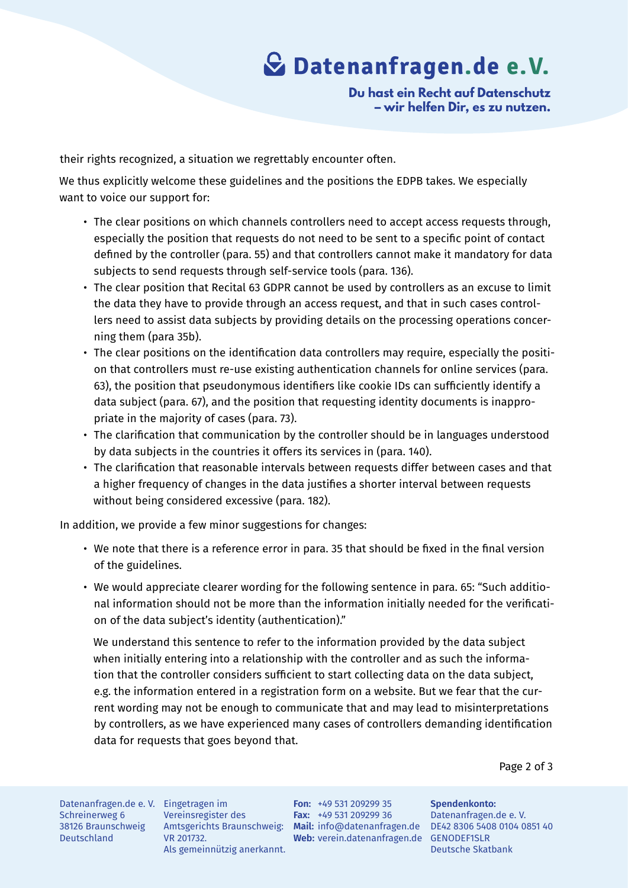# **Datenanfragen.de e. V.**

**Du hast ein Recht auf Datenschutz – wir helfen Dir, es zu nutzen.**

their rights recognized, a situation we regrettably encounter often.

We thus explicitly welcome these guidelines and the positions the EDPB takes. We especially want to voice our support for:

- The clear positions on which channels controllers need to accept access requests through, especially the position that requests do not need to be sent to a specific point of contact defined by the controller (para. 55) and that controllers cannot make it mandatory for data subjects to send requests through self-service tools (para. 136).
- The clear position that Recital 63 GDPR cannot be used by controllers as an excuse to limit the data they have to provide through an access request, and that in such cases controllers need to assist data subjects by providing details on the processing operations concerning them (para 35b).
- The clear positions on the identification data controllers may require, especially the position that controllers must re-use existing authentication channels for online services (para. 63), the position that pseudonymous identifiers like cookie IDs can sufficiently identify a data subject (para. 67), and the position that requesting identity documents is inappropriate in the majority of cases (para. 73).
- The clarification that communication by the controller should be in languages understood by data subjects in the countries it offers its services in (para. 140).
- The clarification that reasonable intervals between requests differ between cases and that a higher frequency of changes in the data justifies a shorter interval between requests without being considered excessive (para. 182).

In addition, we provide a few minor suggestions for changes:

- We note that there is a reference error in para. 35 that should be fixed in the final version of the guidelines.
- We would appreciate clearer wording for the following sentence in para. 65: "Such additional information should not be more than the information initially needed for the verification of the data subject's identity (authentication)."

We understand this sentence to refer to the information provided by the data subject when initially entering into a relationship with the controller and as such the information that the controller considers sufficient to start collecting data on the data subject, e.g. the information entered in a registration form on a website. But we fear that the current wording may not be enough to communicate that and may lead to misinterpretations by controllers, as we have experienced many cases of controllers demanding identification data for requests that goes beyond that.

Page 2 of 3

Datenanfragen.de e. V. Eingetragen im Schreinerweg 6 38126 Braunschweig Deutschland

Vereinsregister des VR 201732. Als gemeinnützig anerkannt.

Amtsgerichts Braunschweig: **Mail:** info@datenanfragen.de DE42 8306 5408 0104 0851 40 **Web:** verein.datenanfragen.de GENODEF1SLR **Fon:** +49 531 209299 35 **Fax:** +49 531 209299 36

**Spendenkonto:** Datenanfragen.de e. V. Deutsche Skatbank